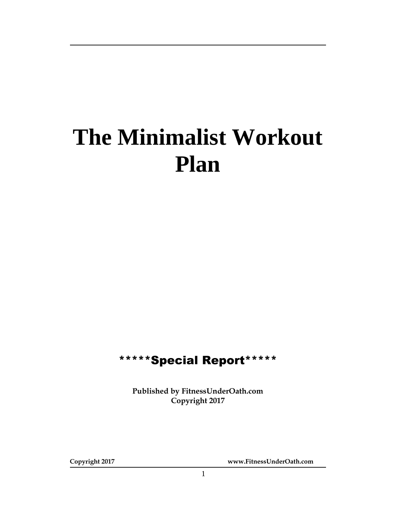# **The Minimalist Workout Plan**

## \*\*\*\*\*Special Report\*\*\*\*\*

**Published by FitnessUnderOath.com Copyright 2017**

**Copyright 2017 www.FitnessUnderOath.com**

1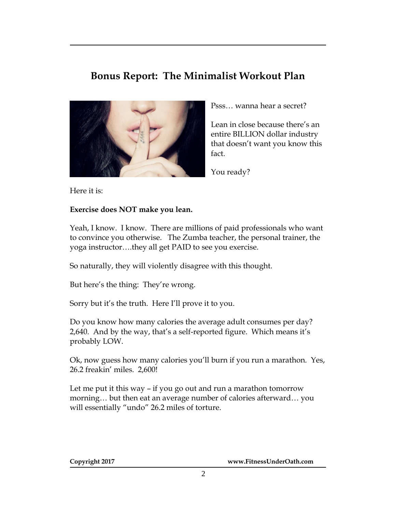### **Bonus Report: The Minimalist Workout Plan**



Psss… wanna hear a secret?

Lean in close because there's an entire BILLION dollar industry that doesn't want you know this fact.

You ready?

Here it is:

#### **Exercise does NOT make you lean.**

Yeah, I know. I know. There are millions of paid professionals who want to convince you otherwise. The Zumba teacher, the personal trainer, the yoga instructor….they all get PAID to see you exercise.

So naturally, they will violently disagree with this thought.

But here's the thing: They're wrong.

Sorry but it's the truth. Here I'll prove it to you.

Do you know how many calories the average adult consumes per day? 2,640. And by the way, that's a self-reported figure. Which means it's probably LOW.

Ok, now guess how many calories you'll burn if you run a marathon. Yes, 26.2 freakin' miles. 2,600!

Let me put it this way – if you go out and run a marathon tomorrow morning… but then eat an average number of calories afterward… you will essentially "undo" 26.2 miles of torture.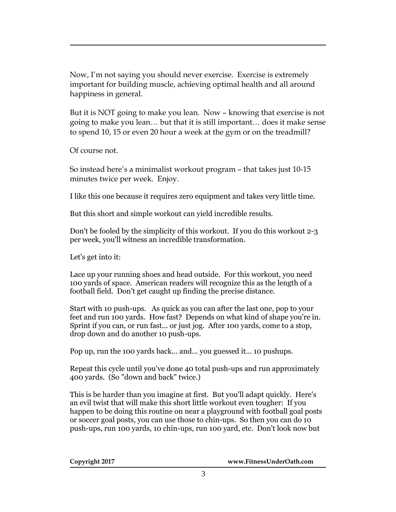Now, I'm not saying you should never exercise. Exercise is extremely important for building muscle, achieving optimal health and all around happiness in general.

But it is NOT going to make you lean. Now – knowing that exercise is not going to make you lean… but that it is still important… does it make sense to spend 10, 15 or even 20 hour a week at the gym or on the treadmill?

Of course not.

So instead here's a minimalist workout program – that takes just 10-15 minutes twice per week. Enjoy.

I like this one because it requires zero equipment and takes very little time.

But this short and simple workout can yield incredible results.

Don't be fooled by the simplicity of this workout. If you do this workout 2-3 per week, you'll witness an incredible transformation.

Let's get into it:

Lace up your running shoes and head outside. For this workout, you need 100 yards of space. American readers will recognize this as the length of a football field. Don't get caught up finding the precise distance.

Start with 10 push-ups. As quick as you can after the last one, pop to your feet and run 100 yards. How fast? Depends on what kind of shape you're in. Sprint if you can, or run fast... or just jog. After 100 yards, come to a stop, drop down and do another 10 push-ups.

Pop up, run the 100 yards back... and... you guessed it... 10 pushups.

Repeat this cycle until you've done 40 total push-ups and run approximately 400 yards. (So "down and back" twice.)

This is be harder than you imagine at first. But you'll adapt quickly. Here's an evil twist that will make this short little workout even tougher: If you happen to be doing this routine on near a playground with football goal posts or soccer goal posts, you can use those to chin-ups. So then you can do 10 push-ups, run 100 yards, 10 chin-ups, run 100 yard, etc. Don't look now but

**Copyright 2017 www.FitnessUnderOath.com**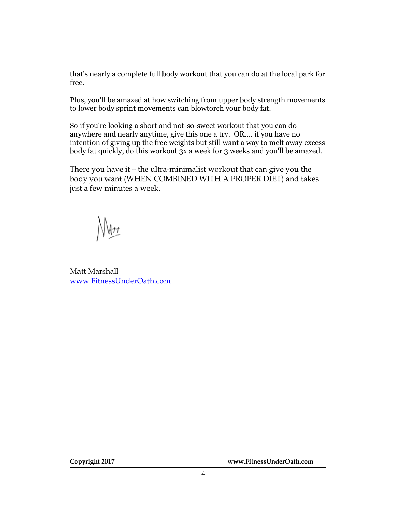that's nearly a complete full body workout that you can do at the local park for free.

Plus, you'll be amazed at how switching from upper body strength movements to lower body sprint movements can blowtorch your body fat.

So if you're looking a short and not-so-sweet workout that you can do anywhere and nearly anytime, give this one a try. OR.... if you have no intention of giving up the free weights but still want a way to melt away excess body fat quickly, do this workout 3x a week for 3 weeks and you'll be amazed.

There you have it – the ultra-minimalist workout that can give you the body you want (WHEN COMBINED WITH A PROPER DIET) and takes just a few minutes a week.

Matt Marshall [www.FitnessUnderOath.com](http://www.fitnessunderoath.com/)